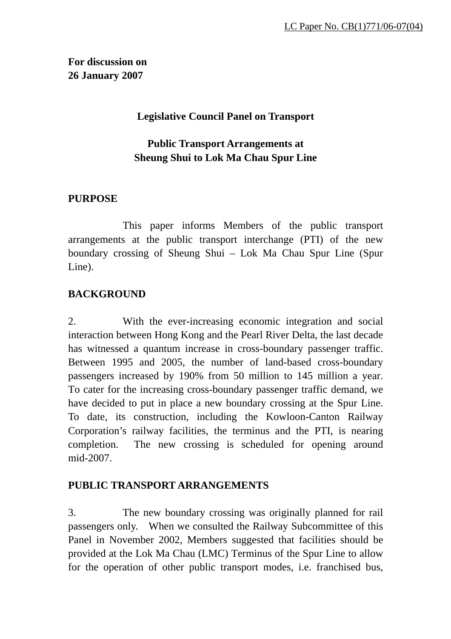**For discussion on 26 January 2007**

## **Legislative Council Panel on Transport**

# **Public Transport Arrangements at Sheung Shui to Lok Ma Chau Spur Line**

## **PURPOSE**

 This paper informs Members of the public transport arrangements at the public transport interchange (PTI) of the new boundary crossing of Sheung Shui – Lok Ma Chau Spur Line (Spur Line).

## **BACKGROUND**

2. With the ever-increasing economic integration and social interaction between Hong Kong and the Pearl River Delta, the last decade has witnessed a quantum increase in cross-boundary passenger traffic. Between 1995 and 2005, the number of land-based cross-boundary passengers increased by 190% from 50 million to 145 million a year. To cater for the increasing cross-boundary passenger traffic demand, we have decided to put in place a new boundary crossing at the Spur Line. To date, its construction, including the Kowloon-Canton Railway Corporation's railway facilities, the terminus and the PTI, is nearing completion. The new crossing is scheduled for opening around mid-2007.

#### **PUBLIC TRANSPORT ARRANGEMENTS**

3. The new boundary crossing was originally planned for rail passengers only. When we consulted the Railway Subcommittee of this Panel in November 2002, Members suggested that facilities should be provided at the Lok Ma Chau (LMC) Terminus of the Spur Line to allow for the operation of other public transport modes, i.e. franchised bus,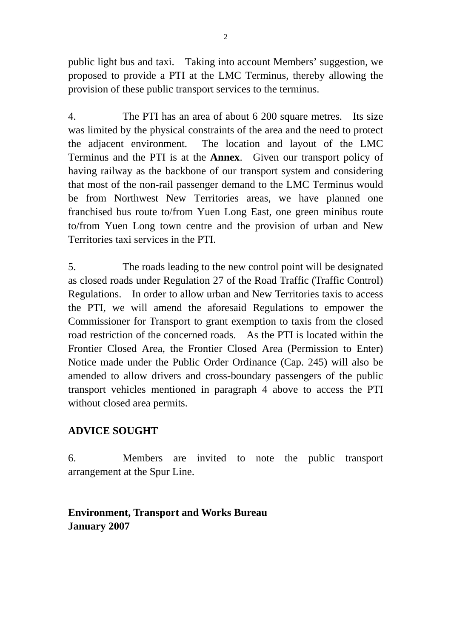public light bus and taxi. Taking into account Members' suggestion, we proposed to provide a PTI at the LMC Terminus, thereby allowing the provision of these public transport services to the terminus.

4. The PTI has an area of about 6 200 square metres. Its size was limited by the physical constraints of the area and the need to protect the adjacent environment. The location and layout of the LMC Terminus and the PTI is at the **Annex**. Given our transport policy of having railway as the backbone of our transport system and considering that most of the non-rail passenger demand to the LMC Terminus would be from Northwest New Territories areas, we have planned one franchised bus route to/from Yuen Long East, one green minibus route to/from Yuen Long town centre and the provision of urban and New Territories taxi services in the PTI.

5. The roads leading to the new control point will be designated as closed roads under Regulation 27 of the Road Traffic (Traffic Control) Regulations. In order to allow urban and New Territories taxis to access the PTI, we will amend the aforesaid Regulations to empower the Commissioner for Transport to grant exemption to taxis from the closed road restriction of the concerned roads. As the PTI is located within the Frontier Closed Area, the Frontier Closed Area (Permission to Enter) Notice made under the Public Order Ordinance (Cap. 245) will also be amended to allow drivers and cross-boundary passengers of the public transport vehicles mentioned in paragraph 4 above to access the PTI without closed area permits.

#### **ADVICE SOUGHT**

6. Members are invited to note the public transport arrangement at the Spur Line.

# **Environment, Transport and Works Bureau January 2007**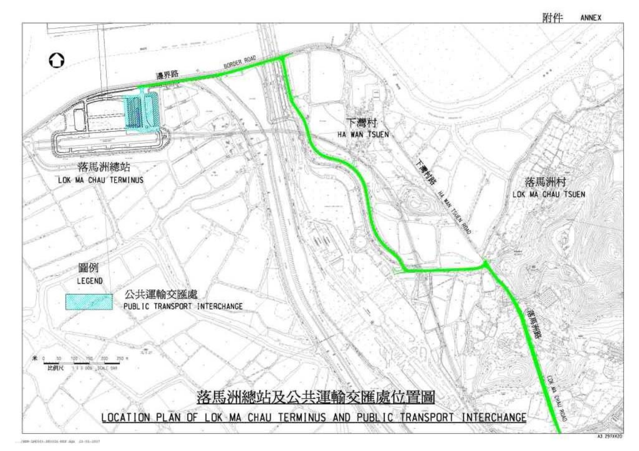